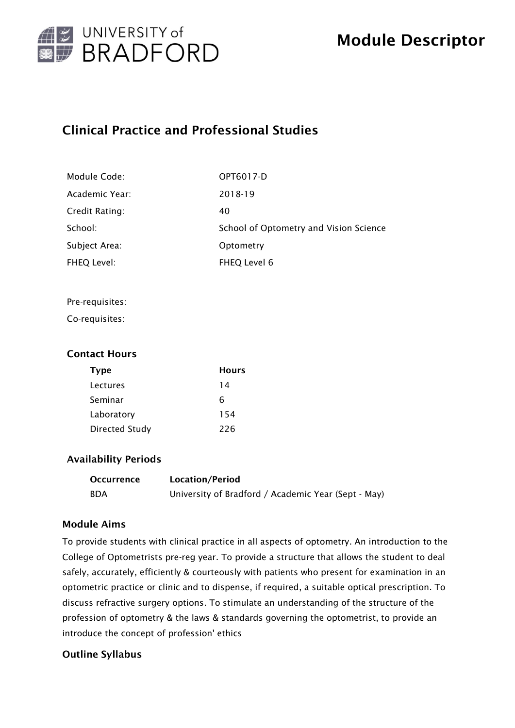

# Clinical Practice and Professional Studies

| Module Code:   | OPT6017-D                              |
|----------------|----------------------------------------|
| Academic Year: | 2018-19                                |
| Credit Rating: | 40                                     |
| School:        | School of Optometry and Vision Science |
| Subject Area:  | Optometry                              |
| FHEQ Level:    | FHEQ Level 6                           |

#### Pre-requisites:

Co-requisites:

## Contact Hours

| <b>Type</b>           | Hours |
|-----------------------|-------|
| Lectures              | 14    |
| Seminar               | 6     |
| Laboratory            | 154   |
| <b>Directed Study</b> | 226   |

## Availability Periods

| <b>Occurrence</b> | Location/Period                                     |
|-------------------|-----------------------------------------------------|
| BDA               | University of Bradford / Academic Year (Sept - May) |

## Module Aims

To provide students with clinical practice in all aspects of optometry. An introduction to the College of Optometrists pre-reg year. To provide a structure that allows the student to deal safely, accurately, efficiently & courteously with patients who present for examination in an optometric practice or clinic and to dispense, if required, a suitable optical prescription. To discuss refractive surgery options. To stimulate an understanding of the structure of the profession of optometry & the laws & standards governing the optometrist, to provide an introduce the concept of profession' ethics

## Outline Syllabus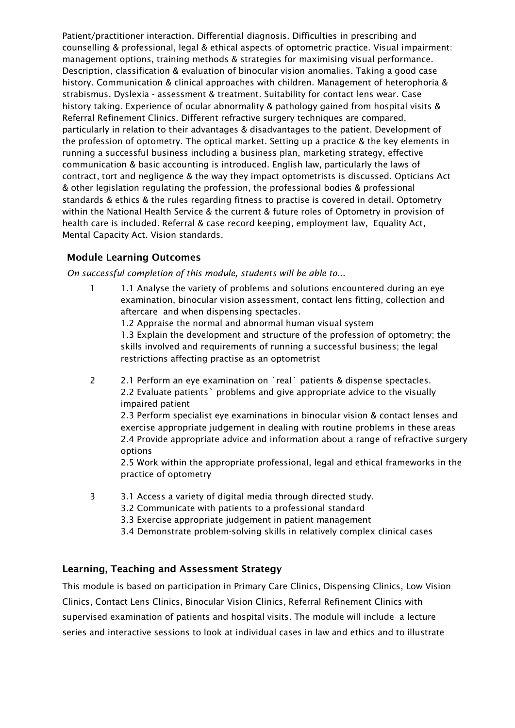Patient/practitioner interaction. Differential diagnosis. Difficulties in prescribing and counselling & professional, legal & ethical aspects of optometric practice. Visual impairment: management options, training methods & strategies for maximising visual performance. Description, classification & evaluation of binocular vision anomalies. Taking a good case history. Communication & clinical approaches with children. Management of heterophoria & strabismus. Dyslexia - assessment & treatment. Suitability for contact lens wear. Case history taking. Experience of ocular abnormality & pathology gained from hospital visits & Referral Refinement Clinics. Different refractive surgery techniques are compared, particularly in relation to their advantages & disadvantages to the patient. Development of the profession of optometry. The optical market. Setting up a practice & the key elements in running a successful business including a business plan, marketing strategy, effective communication & basic accounting is introduced. English law, particularly the laws of contract, tort and negligence & the way they impact optometrists is discussed. Opticians Act & other legislation regulating the profession, the professional bodies & professional standards & ethics & the rules regarding fitness to practise is covered in detail. Optometry within the National Health Service & the current & future roles of Optometry in provision of health care is included. Referral & case record keeping, employment law, Equality Act, Mental Capacity Act. Vision standards.

## Module Learning Outcomes

*On successful completion of this module, students will be able to...*

1 1.1 Analyse the variety of problems and solutions encountered during an eye examination, binocular vision assessment, contact lens fitting, collection and aftercare and when dispensing spectacles.

1.2 Appraise the normal and abnormal human visual system

1.3 Explain the development and structure of the profession of optometry; the skills involved and requirements of running a successful business; the legal restrictions affecting practise as an optometrist

2 2.1 Perform an eye examination on `real` patients & dispense spectacles. 2.2 Evaluate patients` problems and give appropriate advice to the visually impaired patient 2.3 Perform specialist eye examinations in binocular vision & contact lenses and exercise appropriate judgement in dealing with routine problems in these areas 2.4 Provide appropriate advice and information about a range of refractive surgery options 2.5 Work within the appropriate professional, legal and ethical frameworks in the

practice of optometry

- 3 3.1 Access a variety of digital media through directed study.
	- 3.2 Communicate with patients to a professional standard
	- 3.3 Exercise appropriate judgement in patient management
	- 3.4 Demonstrate problem-solving skills in relatively complex clinical cases

## Learning, Teaching and Assessment Strategy

This module is based on participation in Primary Care Clinics, Dispensing Clinics, Low Vision Clinics, Contact Lens Clinics, Binocular Vision Clinics, Referral Refinement Clinics with supervised examination of patients and hospital visits. The module will include a lecture series and interactive sessions to look at individual cases in law and ethics and to illustrate